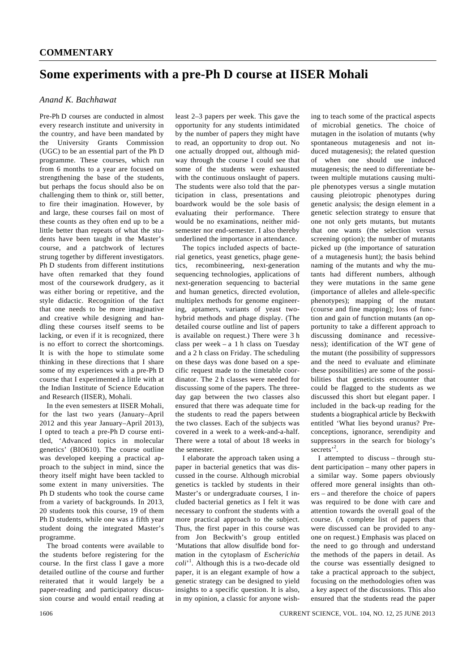## **Some experiments with a pre-Ph D course at IISER Mohali**

## *Anand K. Bachhawat*

Pre-Ph D courses are conducted in almost every research institute and university in the country, and have been mandated by the University Grants Commission (UGC) to be an essential part of the Ph D programme. These courses, which run from 6 months to a year are focused on strengthening the base of the students, but perhaps the focus should also be on challenging them to think or, still better, to fire their imagination. However, by and large, these courses fail on most of these counts as they often end up to be a little better than repeats of what the students have been taught in the Master's course, and a patchwork of lectures strung together by different investigators. Ph D students from different institutions have often remarked that they found most of the coursework drudgery, as it was either boring or repetitive, and the style didactic. Recognition of the fact that one needs to be more imaginative and creative while designing and handling these courses itself seems to be lacking, or even if it is recognized, there is no effort to correct the shortcomings. It is with the hope to stimulate some thinking in these directions that I share some of my experiences with a pre-Ph D course that I experimented a little with at the Indian Institute of Science Education and Research (IISER), Mohali.

 In the even semesters at IISER Mohali, for the last two years (January–April 2012 and this year January–April 2013), I opted to teach a pre-Ph D course entitled, 'Advanced topics in molecular genetics' (BIO610). The course outline was developed keeping a practical approach to the subject in mind, since the theory itself might have been tackled to some extent in many universities. The Ph D students who took the course came from a variety of backgrounds. In 2013, 20 students took this course, 19 of them Ph D students, while one was a fifth year student doing the integrated Master's programme.

 The broad contents were available to the students before registering for the course. In the first class I gave a more detailed outline of the course and further reiterated that it would largely be a paper-reading and participatory discussion course and would entail reading at least 2–3 papers per week. This gave the opportunity for any students intimidated by the number of papers they might have to read, an opportunity to drop out. No one actually dropped out, although midway through the course I could see that some of the students were exhausted with the continuous onslaught of papers. The students were also told that the participation in class, presentations and boardwork would be the sole basis of evaluating their performance. There would be no examinations, neither midsemester nor end-semester. I also thereby underlined the importance in attendance.

 The topics included aspects of bacterial genetics, yeast genetics, phage genetics, recombineering, next-generation sequencing technologies, applications of next-generation sequencing to bacterial and human genetics, directed evolution, multiplex methods for genome engineering, aptamers, variants of yeast twohybrid methods and phage display. (The detailed course outline and list of papers is available on request.) There were 3 h class per week – a 1 h class on Tuesday and a 2 h class on Friday. The scheduling on these days was done based on a specific request made to the timetable coordinator. The 2 h classes were needed for discussing some of the papers. The threeday gap between the two classes also ensured that there was adequate time for the students to read the papers between the two classes. Each of the subjects was covered in a week to a week-and-a-half. There were a total of about 18 weeks in the semester.

 I elaborate the approach taken using a paper in bacterial genetics that was discussed in the course. Although microbial genetics is tackled by students in their Master's or undergraduate courses, I included bacterial genetics as I felt it was necessary to confront the students with a more practical approach to the subject. Thus, the first paper in this course was from Jon Beckwith's group entitled 'Mutations that allow disulfide bond formation in the cytoplasm of *Escherichia coli*' 1 . Although this is a two-decade old paper, it is an elegant example of how a genetic strategy can be designed to yield insights to a specific question. It is also, in my opinion, a classic for anyone wishing to teach some of the practical aspects of microbial genetics. The choice of mutagen in the isolation of mutants (why spontaneous mutagenesis and not induced mutagenesis); the related question of when one should use induced mutagenesis; the need to differentiate between multiple mutations causing multiple phenotypes versus a single mutation causing pleiotropic phenotypes during genetic analysis; the design element in a genetic selection strategy to ensure that one not only gets mutants, but mutants that one wants (the selection versus screening option); the number of mutants picked up (the importance of saturation of a mutagenesis hunt); the basis behind naming of the mutants and why the mutants had different numbers, although they were mutations in the same gene (importance of alleles and allele-specific phenotypes); mapping of the mutant (course and fine mapping); loss of function and gain of function mutants (an opportunity to take a different approach to discussing dominance and recessiveness); identification of the WT gene of the mutant (the possibility of suppressors and the need to evaluate and eliminate these possibilities) are some of the possibilities that geneticists encounter that could be flagged to the students as we discussed this short but elegant paper. I included in the back-up reading for the students a biographical article by Beckwith entitled 'What lies beyond uranus? Preconceptions, ignorance, serendipity and suppressors in the search for biology's secrets<sup>'2</sup>.

 I attempted to discuss – through student participation – many other papers in a similar way. Some papers obviously offered more general insights than others – and therefore the choice of papers was required to be done with care and attention towards the overall goal of the course. (A complete list of papers that were discussed can be provided to anyone on request.) Emphasis was placed on the need to go through and understand the methods of the papers in detail. As the course was essentially designed to take a practical approach to the subject, focusing on the methodologies often was a key aspect of the discussions. This also ensured that the students read the paper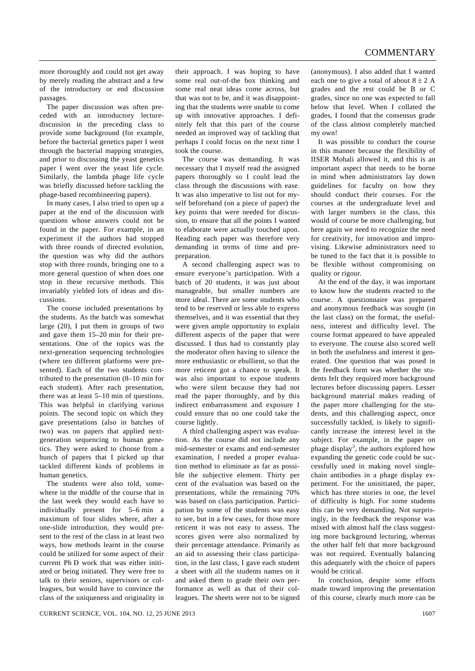more thoroughly and could not get away by merely reading the abstract and a few of the introductory or end discussion passages.

 The paper discussion was often preceded with an introductory lecturediscussion in the preceding class to provide some background (for example, before the bacterial genetics paper I went through the bacterial mapping strategies, and prior to discussing the yeast genetics paper I went over the yeast life cycle. Similarly, the lambda phage life cycle was briefly discussed before tackling the phage-based recombineering papers).

 In many cases, I also tried to open up a paper at the end of the discussion with questions whose answers could not be found in the paper. For example, in an experiment if the authors had stopped with three rounds of directed evolution, the question was why did the authors stop with three rounds, bringing one to a more general question of when does one stop in these recursive methods. This invariably yielded lots of ideas and discussions.

 The course included presentations by the students. As the batch was somewhat large (20), I put them in groups of two and gave them 15–20 min for their presentations. One of the topics was the next-generation sequencing technologies (where ten different platforms were presented). Each of the two students contributed to the presentation (8–10 min for each student). After each presentation, there was at least 5–10 min of questions. This was helpful in clarifying various points. The second topic on which they gave presentations (also in batches of two) was on papers that applied nextgeneration sequencing to human genetics. They were asked to choose from a bunch of papers that I picked up that tackled different kinds of problems in human genetics.

 The students were also told, somewhere in the middle of the course that in the last week they would each have to individually present for 5–6 min a maximum of four slides where, after a one-slide introduction, they would present to the rest of the class in at least two ways, how methods learnt in the course could be utilized for some aspect of their current Ph D work that was either initiated or being initiated. They were free to talk to their seniors, supervisors or colleagues, but would have to convince the class of the uniqueness and originality in

their approach. I was hoping to have some real out-of-the box thinking and some real neat ideas come across, but that was not to be, and it was disappointing that the students were unable to come up with innovative approaches. I definitely felt that this part of the course needed an improved way of tackling that perhaps I could focus on the next time I took the course.

 The course was demanding. It was necessary that I myself read the assigned papers thoroughly so I could lead the class through the discussions with ease. It was also imperative to list out for myself beforehand (on a piece of paper) the key points that were needed for discussion, to ensure that all the points I wanted to elaborate were actually touched upon. Reading each paper was therefore very demanding in terms of time and prepreparation.

 A second challenging aspect was to ensure everyone's participation. With a batch of 20 students, it was just about manageable, but smaller numbers are more ideal. There are some students who tend to be reserved or less able to express themselves, and it was essential that they were given ample opportunity to explain different aspects of the paper that were discussed. I thus had to constantly play the moderator often having to silence the more enthusiastic or ebullient, so that the more reticent got a chance to speak. It was also important to expose students who were silent because they had not read the paper thoroughly, and by this indirect embarrassment and exposure I could ensure that no one could take the course lightly.

 A third challenging aspect was evaluation. As the course did not include any mid-semester or exams and end-semester examination, I needed a proper evaluation method to eliminate as far as possible the subjective element. Thirty per cent of the evaluation was based on the presentations, while the remaining 70% was based on class participation. Participation by some of the students was easy to see, but in a few cases, for those more reticent it was not easy to assess. The scores given were also normalized by their percentage attendance. Primarily as an aid to assessing their class participation, in the last class, I gave each student a sheet with all the students names on it and asked them to grade their own performance as well as that of their colleagues. The sheets were not to be signed (anonymous). I also added that I wanted each one to give a total of about  $8 \pm 2$  A grades and the rest could be B or C grades, since no one was expected to fall below that level. When I collated the grades, I found that the consensus grade of the class almost completely matched my own!

 It was possible to conduct the course in this manner because the flexibility of IISER Mohali allowed it, and this is an important aspect that needs to be borne in mind when administrators lay down guidelines for faculty on how they should conduct their courses. For the courses at the undergraduate level and with larger numbers in the class, this would of course be more challenging, but here again we need to recognize the need for creativity, for innovation and improvising. Likewise administrators need to be tuned to the fact that it is possible to be flexible without compromising on quality or rigour.

 At the end of the day, it was important to know how the students reacted to the course. A questionnaire was prepared and anonymous feedback was sought (in the last class) on the format, the usefulness, interest and difficulty level. The course format appeared to have appealed to everyone. The course also scored well in both the usefulness and interest it generated. One question that was posed in the feedback form was whether the students felt they required more background lectures before discussing papers. Lesser background material makes reading of the paper more challenging for the students, and this challenging aspect, once successfully tackled, is likely to significantly increase the interest level in the subject. For example, in the paper on phage display<sup>3</sup>, the authors explored how expanding the genetic code could be successfully used in making novel singlechain antibodies in a phage display experiment. For the uninitiated, the paper, which has three stories in one, the level of difficulty is high. For some students this can be very demanding. Not surprisingly, in the feedback the response was mixed with almost half the class suggesting more background lecturing, whereas the other half felt that more background was not required. Eventually balancing this adequately with the choice of papers would be critical.

 In conclusion, despite some efforts made toward improving the presentation of this course, clearly much more can be